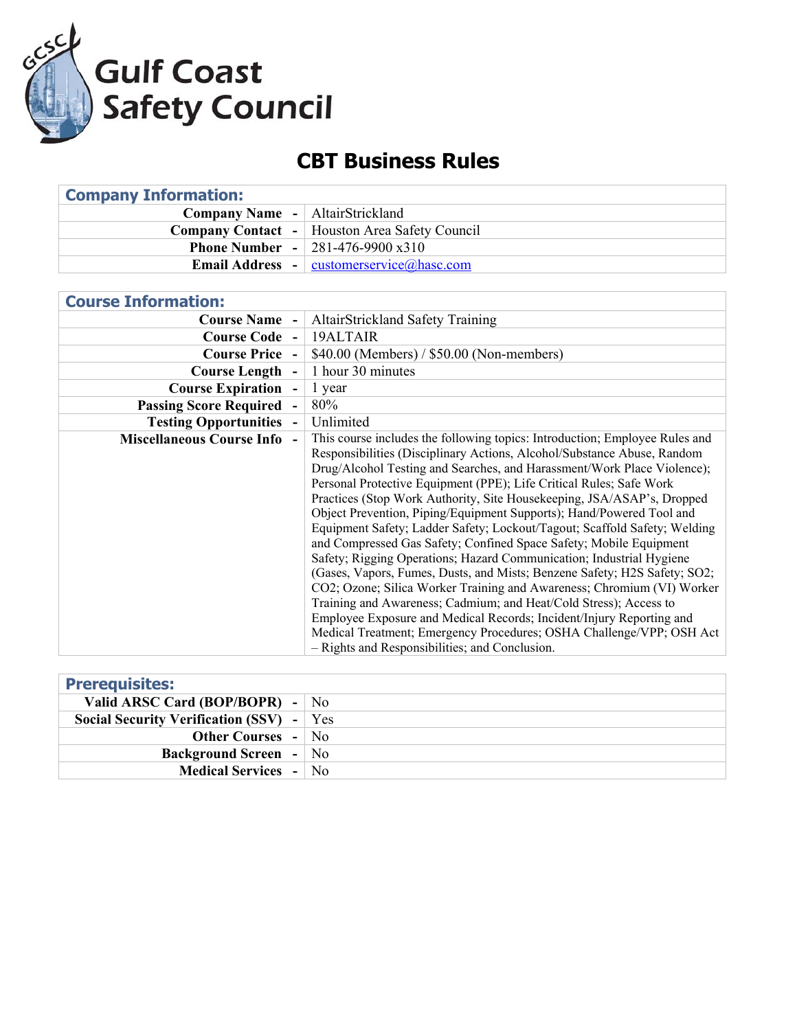

## **CBT Business Rules**

| <b>Company Information:</b>                          |  |  |
|------------------------------------------------------|--|--|
| <b>Company Name</b> -   AltairStrickland             |  |  |
| <b>Company Contact</b> - Houston Area Safety Council |  |  |
| <b>Phone Number - 281-476-9900 x310</b>              |  |  |
| <b>Email Address</b> - customerservice (a) has c.com |  |  |
|                                                      |  |  |

| <b>Course Information:</b>                     |                                                                                                                                                                                                                                                                                                                                                                                                                                                                                                                                                                                                                                                                                                                                                                                                                                                                                                                                                                                                                                                                                                                     |
|------------------------------------------------|---------------------------------------------------------------------------------------------------------------------------------------------------------------------------------------------------------------------------------------------------------------------------------------------------------------------------------------------------------------------------------------------------------------------------------------------------------------------------------------------------------------------------------------------------------------------------------------------------------------------------------------------------------------------------------------------------------------------------------------------------------------------------------------------------------------------------------------------------------------------------------------------------------------------------------------------------------------------------------------------------------------------------------------------------------------------------------------------------------------------|
| <b>Course Name -</b>                           | <b>AltairStrickland Safety Training</b>                                                                                                                                                                                                                                                                                                                                                                                                                                                                                                                                                                                                                                                                                                                                                                                                                                                                                                                                                                                                                                                                             |
| <b>Course Code -</b>                           | 19ALTAIR                                                                                                                                                                                                                                                                                                                                                                                                                                                                                                                                                                                                                                                                                                                                                                                                                                                                                                                                                                                                                                                                                                            |
| <b>Course Price -</b>                          | \$40.00 (Members) / \$50.00 (Non-members)                                                                                                                                                                                                                                                                                                                                                                                                                                                                                                                                                                                                                                                                                                                                                                                                                                                                                                                                                                                                                                                                           |
| <b>Course Length</b>                           | 1 hour 30 minutes                                                                                                                                                                                                                                                                                                                                                                                                                                                                                                                                                                                                                                                                                                                                                                                                                                                                                                                                                                                                                                                                                                   |
| <b>Course Expiration</b>                       | 1 year                                                                                                                                                                                                                                                                                                                                                                                                                                                                                                                                                                                                                                                                                                                                                                                                                                                                                                                                                                                                                                                                                                              |
| <b>Passing Score Required</b>                  | 80%                                                                                                                                                                                                                                                                                                                                                                                                                                                                                                                                                                                                                                                                                                                                                                                                                                                                                                                                                                                                                                                                                                                 |
| <b>Testing Opportunities</b><br>$\blacksquare$ | Unlimited                                                                                                                                                                                                                                                                                                                                                                                                                                                                                                                                                                                                                                                                                                                                                                                                                                                                                                                                                                                                                                                                                                           |
| <b>Miscellaneous Course Info -</b>             | This course includes the following topics: Introduction; Employee Rules and<br>Responsibilities (Disciplinary Actions, Alcohol/Substance Abuse, Random<br>Drug/Alcohol Testing and Searches, and Harassment/Work Place Violence);<br>Personal Protective Equipment (PPE); Life Critical Rules; Safe Work<br>Practices (Stop Work Authority, Site Housekeeping, JSA/ASAP's, Dropped<br>Object Prevention, Piping/Equipment Supports); Hand/Powered Tool and<br>Equipment Safety; Ladder Safety; Lockout/Tagout; Scaffold Safety; Welding<br>and Compressed Gas Safety; Confined Space Safety; Mobile Equipment<br>Safety; Rigging Operations; Hazard Communication; Industrial Hygiene<br>(Gases, Vapors, Fumes, Dusts, and Mists; Benzene Safety; H2S Safety; SO2;<br>CO2; Ozone; Silica Worker Training and Awareness; Chromium (VI) Worker<br>Training and Awareness; Cadmium; and Heat/Cold Stress); Access to<br>Employee Exposure and Medical Records; Incident/Injury Reporting and<br>Medical Treatment; Emergency Procedures; OSHA Challenge/VPP; OSH Act<br>- Rights and Responsibilities; and Conclusion. |

| <b>Prerequisites:</b>                      |  |
|--------------------------------------------|--|
| Valid ARSC Card (BOP/BOPR) - $\vert$ No    |  |
| Social Security Verification (SSV) $-$ Yes |  |
| <b>Other Courses - No</b>                  |  |
| <b>Background Screen</b> - No              |  |
| <b>Medical Services - No</b>               |  |